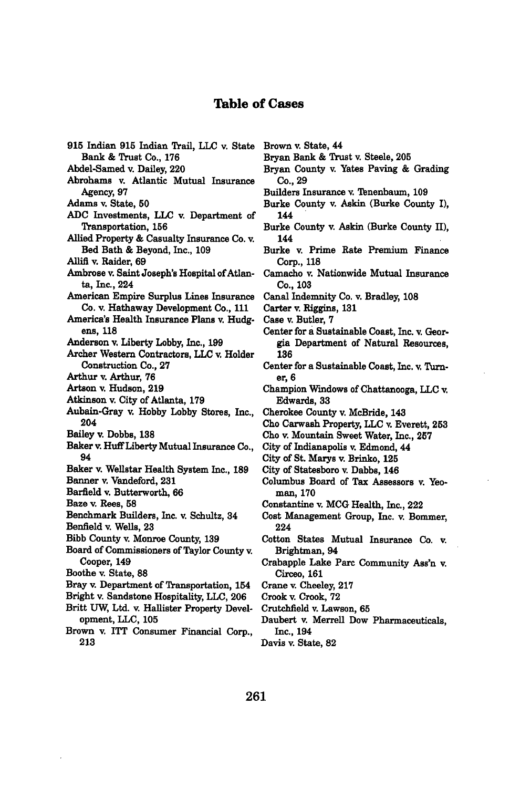#### **Table of Cases**

**915** Indian **915** Indian Trail, **LLC** v. State Bank **&** Trust Co., **176** Abdel-Samed v. Dailey, 220 Abrohams v. Atlantic Mutual Insurance Agency, **97** Adams v. State, **50 ADC** Investments, **LLC** v. Department of Transportation, **156** Allied Property **&** Casualty Insurance Co. v. Bed Bath & Beyond, Inc., **109 Allifi** v. Raider, **69** Ambrose v. Saint Joseph's Hospital of Atlanta, Inc., 224 American Empire Surplus Lines Insurance Co. v. Hathaway Development Co., **111** America's Health Insurance Plans v. Hudgens, **118** Anderson v. Liberty Lobby, Inc., **199** Archer Western Contractors, **LLC** v. Holder Construction Co., **27** Arthur v. Arthur, **76** Artson v. Hudson, **219** Atkinson v. City of Atlanta, **179** Aubain-Gray v. Hobby Lobby Stores, Inc., 204 Bailey v. Dobbs, **138** Baker v. Huff Liberty Mutual Insurance Co., 94 Baker v. Wellstar Health System Inc., **189** Banner v. Vandeford, **231** Barfield v. Butterworth, **66** Baze v. Rees, **58** Benchmark Builders, Inc. v. Schultz, 34 Benfield v. Wells, **23** Bibb County v. Monroe County, **139** Board of Commissioners of Taylor County v. Cooper, 149 Boothe v. State, **88** Bray v. Department of Transportation, 154 Bright v. Sandstone Hospitality, **LLC, 206** Britt **UW,** Ltd. v. Hallister Property Development, LLC, **105** Brown v. ITT Consumer Financial Corp., **213**

Brown v. State, 44 Bryan Bank **&** Trust v. Steele, **205** Bryan County v. Yates Paving **&** Grading Co., **29** Builders Insurance v. Tenenbaum, **109** Burke County v. Askin (Burke County I), 144 Burke County v. Askin (Burke County **II),** 144 Burke v. Prime Rate Premium Finance Corp., **118** Camacho v. Nationwide Mutual Insurance Co., **103** Canal Indemnity Co. v. Bradley, **108** Carter v. Riggins, **131** Case v. Butler, **7** Center for a Sustainable Coast, Inc. v. Georgia Department of Natural Resources, **136** Center for a Sustainable Coast, Inc. v. Turner, **6** Champion Windows of Chattanooga, **LLC** v. Edwards, **33** Cherokee County v. McBride, 143 Cho Carwash Property, **LLC** v. Everett, **253 Cho v.** Mountain Sweet Water, Inc., **257** City **of** Indianapolis v. Edmond, 44 City of St. Marys v. Brinko, **125** City of Statesboro v. Dabbs, 146 **Columbus** Board of Tax Assessors v. Yeoman, **170** Constantine v. **MCG** Health, Inc., 222 Cost Management Group, Inc. v. Bommer, 224 Cotton States Mutual Insurance **Co.** v. Brightman, 94 Crabapple Lake Parc Community Ass'n v. Circeo, **161** Crane v. Cheeley, **217** Crook v. Crook, **72** Crutchfield v. Lawson, **65** Daubert v. Merrell Dow Pharmaceuticals, Inc., 194 Davis v. State, **82**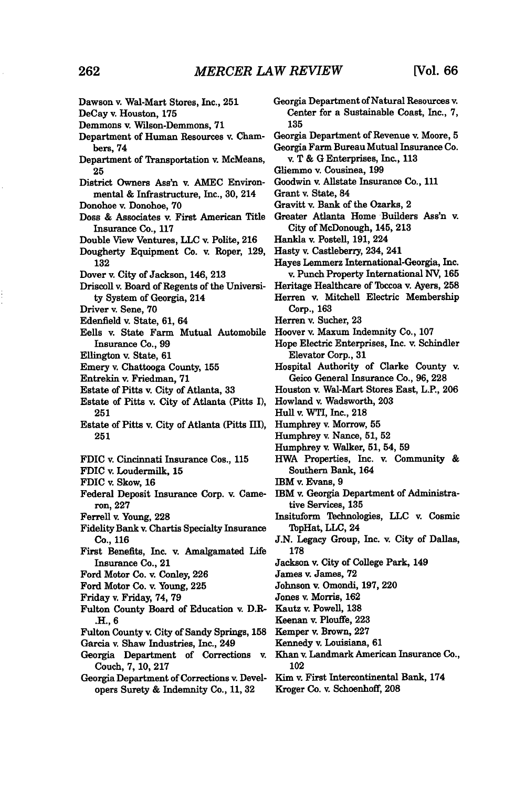- Dawson v. Wal-Mart Stores, Inc., **251**
- DeCay v. Houston, **175**
- Demmons v. Wilson-Demmons, **71**
- Department of Human Resources v. Chambers, 74
- Department of Transportation v. McMeans, **25**
- District Owners Ass'n v. **AMEC** Environmental **&** Infrastructure, Inc., **30,** 214
- Donohoe v. Donohoe, **70**
- Doss **&** Associates v. First American Title Insurance Co., **117**
- Double View Ventures, **LLC** v. Polite, **216**
- Dougherty Equipment Co. v. Roper, **129, 132**
- Dover v. City of Jackson, 146, **213**
- Driscoll v. Board of Regents of the University System of Georgia, 214
- Driver v. Sene, **70**
- Edenfield v. State, **61,** 64
- Eells v. State Farm Mutual Automobile Insurance Co., **99**
- Ellington v. State, **61**
- Emery v. Chattooga County, **155**
- Entrekin v. Friedman, **71**
- Estate of Pitts v. City of Atlanta, **33**
- Estate of Pitts v. City of Atlanta (Pitts I), **251**
- Estate of Pitts v. City of Atlanta (Pitts III), **251**
- FDIC v. Cincinnati Insurance Cos., **115**
- **FDIC** v. Loudermilk, **15**
- **FDIC** v. Skow, **16**
- Federal Deposit Insurance Corp. v. Cameron, **227**
- Ferrell v. Young, **228**
- Fidelity Bank v. Chartis Specialty Insurance Co., **116**
- First Benefits, Inc. v. Amalgamated Life Insurance Co., 21
- Ford Motor Co. v. Conley, **226**
- Ford Motor Co. v. Young, **225**
- Friday v. Friday, 74, **79**
- Fulton County Board of Education v. D.R- .H., **6**
- Fulton County v. City of Sandy Springs, **158**
- Garcia v. Shaw Industries, Inc., 249
- Georgia Department of Corrections v. Couch, **7, 10, 217**
- Georgia Department of Corrections v. Developers Surety **&** Indemnity Co., **11, 32**
- Georgia Department of Natural Resources v. Center for a Sustainable Coast, Inc., **7, 135**
- Georgia Department of Revenue v. Moore, **5**
- Georgia Farm Bureau Mutual Insurance Co. v. T **& G** Enterprises, Inc., **113**
- Gliemmo v. Cousinea, **199**
- Goodwin v. Allstate Insurance Co., **111**
- Grant v. State, 84
- Gravitt v. Bank of the Ozarks, 2
- Greater Atlanta Home Builders Ass'n v. City of McDonough, 145, **213**
- Hankla v. Postell, **191,** 224
- Hasty v. Castleberry, 234, 241
- Hayes Lemmerz International-Georgia, Inc. v. Punch Property International **NV, 165**
- Heritage Healthcare of Thccoa v. Ayers, **258**
- Herren v. Mitchell Electric Membership Corp., **163**
- Herren v. Sucher, **23**
- Hoover v. **Maxum** Indemnity Co., **107**
- Hope Electric Enterprises, Inc. v. Schindler Elevator Corp., **31**
- Hospital Authority of Clarke County v. Geico General Insurance Co., **96, 228**
- Houston v. Wal-Mart Stores East, L.P., **206**
- Howland v. Wadsworth, **203**
- Hull v. WTI, Inc., **218**
- Humphrey v. Morrow, **55**
- Humphrey v. Nance, **51, 52**
- Humphrey v. Walker, **51,** 54, **59**
- HWA Properties, Inc. v. Community & Southern Bank, 164
- IBM v. Evans, **9**
- IBM v. Georgia Department of Administrative Services, **135**
- Insituform Technologies, **LLC** v. Cosmic TopHat, **LLC,** 24
- **J.N.** Legacy Group, Inc. v. City of Dallas, **178**
- Jackson v. City of College Park, 149
- James v. James, **72**
- Johnson v. Omondi, **197,** 220
- Jones v. Morris, **162**
- Kautz v. Powell, **138**
- Keenan v. Plouffe, **223**
- Kemper v. Brown, **227**
- Kennedy v. Louisiana, **61**
- Khan v. Landmark American Insurance Co., 102
- Kim v. First Intercontinental Bank, 174
- Kroger Co. v. Schoenhoff, **208**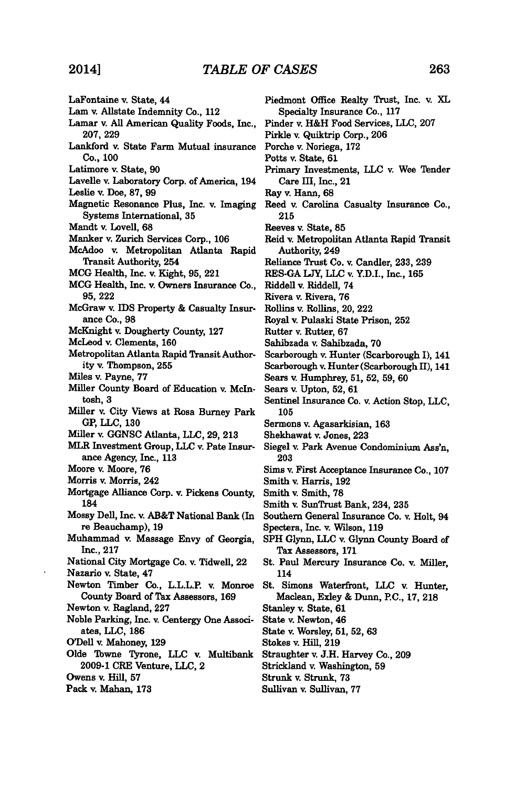- LaFontaine v. State, 44
- Lam v. Allstate Indemnity Co., 112
- Lamar v. **All** American Quality Foods, Inc., **207, 229**
- Lankford v. State Farm Mutual insurance **Co., 100**
- Latimore v. State, **90**
- Lavelle v. Laboratory Corp. of America, 194
- Leslie v. Doe, **87, 99**
- Magnetic Resonance Plus, Inc. v. Imaging Systems International, **35**
- Mandt v. Lovell, **68**
- Manker v. Zurich Services Corp., **106**
- McAdoo v. Metropolitan Atlanta Rapid Transit Authority, 254
- **MCG** Health, Inc. v. Kight, **95,** 221
- **MCG** Health, Inc. v. Owners Insurance Co., **95, 222**
- McGraw v. **IDS** Property & Casualty Insurance Co., **98**
- McKnight v. Dougherty County, **127**
- McLeod v. Clements, **160**
- Metropolitan Atlanta Rapid Transit Authority v. Thompson, **255**
- Miles v. Payne, **77**
- Miller County Board of Education v. McIntosh, **3**
- Miller v. City Views at Rosa Burney Park **GP, LLC, 130**
- Miller v. **GGNSC** Atlanta, **LLC, 29, 213**
- MLR Investment Group, **LLC** v. Pate Insurance Agency, Inc., **113**
- Moore v. Moore, **76**
- Morris v. Morris, 242
- Mortgage Alliance Corp. v. Pickens County, 184
- Mossy Dell, Inc. v. AB&T National Bank (In re Beauchamp), **19**
- Muhammad v. Massage Envy of Georgia, Inc., **217**
- National City Mortgage Co. v. Tidwell, 22 Nazario v. State, 47
- 
- Newton Timber Co., L.L.L.P. v. Monroe County Board of Tax Assessors, **169**
- Newton v. Ragland, **227**
- Noble Parking, Inc. v. Centergy One Associates, **LLC, 186**
- O'Dell v. Mahoney, **129**
- Olde Tbwne Tyrone, **LLC** v. Multibank 2009-1 CRE Venture, LLC, 2
- Owens v. Hill, **57**
- Pack v. Mahan, **173**
- Piedmont Office Realty Trust, Inc. v. XL Specialty Insurance Co., **117** Pinder v. H&H Food Services, LLC, **207** Pirkle v. Quiktrip Corp., **206** Porche v. Noriega, **172** Potts v. State, **61** Primary Investments, **LLC** v. Wee Tender Care III, Inc., 21 Ray v. Hann, **68** Reed v. Carolina Casualty Insurance Co., **215** Reeves v. State, **85** Reid v. Metropolitan Atlanta Rapid Transit Authority, 249 Reliance Trust Co. v. Candler, 233, 239 **RES-GA LJY, LLC** v. Y.D.I., Inc., **165** Riddell v. Riddell, 74
- Rivera v. Rivera, 76
- Rollins v. Rollins, 20, 222
- Royal v. Pulaski State Prison, 252
- Rutter v. Rutter, **67**
- Sahibzada v. Sahibzada, 70
- Scarborough v. Hunter (Scarborough I), 141
- Scarborough v. Hunter (Scarborough I1), 141
- Sears v. Humphrey, **51, 52, 59,** 60
- Sears v. Upton, **52,** 61
- Sentinel Insurance Co. v. Action Stop, LLC, **105**
- Sermons v. Agasarkisian, 163
- Shekhawat v. Jones, 223
- Siegel v. Park Avenue Condominium Ass'n, **203**
- Sims v. First Acceptance Insurance Co., **107**
- Smith v. Harris, **192**
- Smith v. Smith, **78**
- Smith v. SunTrust Bank, 234, **235**
- Southern General Insurance Co. v. Holt, 94
- Spectera, Inc. v. Wilson, **119**
- **SPH** Glynn, **LLC** v. Glynn County Board of Tax Assessors, **171**
- St. Paul Mercury Insurance Co. v. Miller, 114
- St. Simons Waterfront, **LLC** v. Hunter, Maclean, Exley **&** Dunn, **P.C., 17, 218**
- Stanley v. State, 61
- State v. Newton, 46
- State v. Worsley, **51, 52, 63**
- Stokes v. Hill, **219**
- Straughter v. **J.H.** Harvey Co., **209**
	- Strickland v. Washington, **59**
	- Strunk v. Strunk, **73**
	- Sullivan v. Sullivan, **77**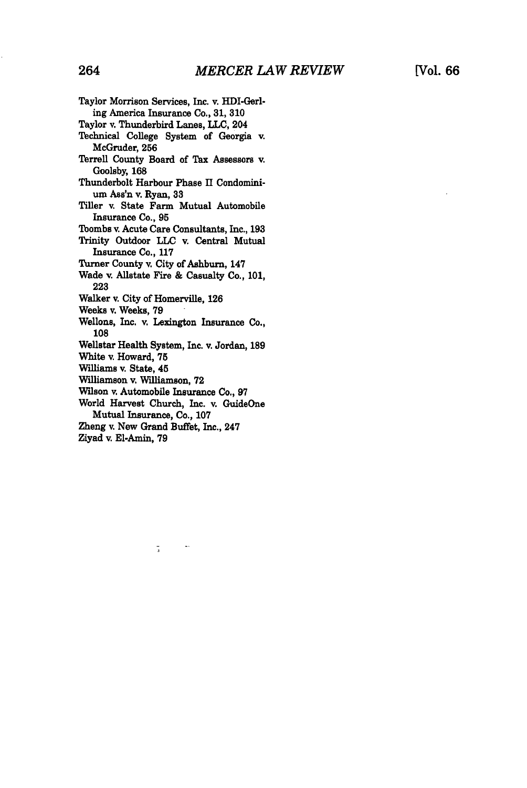- Taylor Morrison Services, Inc. v. HDI-Gerling America Insurance Co., 31, 310
- Taylor v. Thunderbird Lanes, LLC, 204
- Technical College System of Georgia v. McGruder, **256**
- Terrell County Board of Tax Assessors v. Goolsby, **168**
- Thunderbolt Harbour Phase II Condominium Ass'n v. Ryan, **33**
- Tiller v. State Farm Mutual Automobile Insurance Co., **95**

Toombs v. Acute Care Consultants, Inc., **193**

- Trinity Outdoor **LLC** v. Central Mutual Insurance Co., **117**
- Turner County v. City of Ashburn, 147
- Wade v. Allstate Fire **&** Casualty Co., **101, 223**
- Walker v. City of Homerville, **126**
- Weeks v. Weeks, **79**
- Wellons, Inc. v. Lexington Insurance Co., **108**
- Wellstar Health System, Inc. v. Jordan, **189**
- White v. Howard, **75**

Williams v. State, 45

Williamson v. Williamson, **72**

- Wilson v. Automobile Insurance Co., **97**
- World Harvest Church, Inc. v. GuideOne Mutual Insurance, Co., **107**
- Zheng v. New Grand Buffet, Inc., 247

 $\frac{1}{3}$ 

Ziyad v. EI-Amin, **79**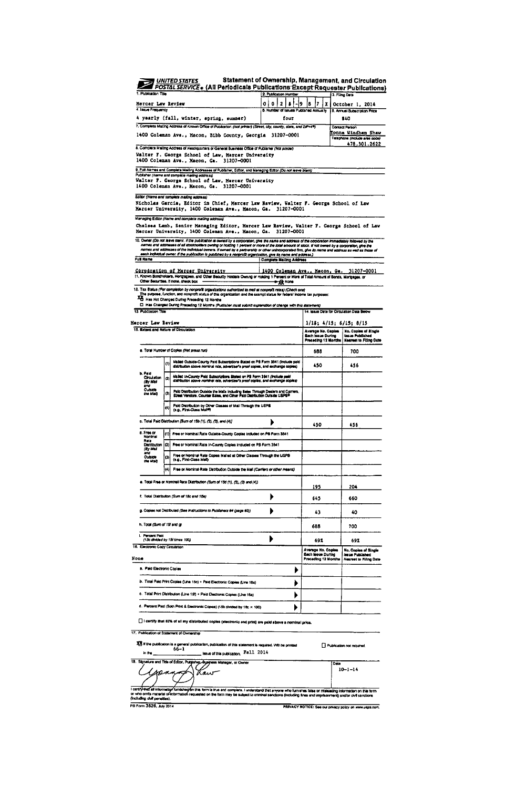| 1. Publication Titl                                                                                                                                                           |             | Statement of Ownership, Management, and Circulation<br><b>STATED STATES</b><br>POSTAL SERVICE e (All Periodicals Publications Except Requester Publications)                                                                                                                       | 2. Publication Mumber   |   |                                                                |                                   | 3. Filing Date                                                        |  |
|-------------------------------------------------------------------------------------------------------------------------------------------------------------------------------|-------------|------------------------------------------------------------------------------------------------------------------------------------------------------------------------------------------------------------------------------------------------------------------------------------|-------------------------|---|----------------------------------------------------------------|-----------------------------------|-----------------------------------------------------------------------|--|
| Mercar Law Review<br>4. Issue Frequency                                                                                                                                       |             |                                                                                                                                                                                                                                                                                    |                         |   | 0 0 1 2 5 - 9 8 7 x<br>5. Number of Issues Published Annually  |                                   | October 1, 2014<br>6. Annual Subscription Price                       |  |
| 4 yearly (fall, winter, spring, summer)<br>four                                                                                                                               |             |                                                                                                                                                                                                                                                                                    |                         |   |                                                                |                                   | \$40                                                                  |  |
| 7. Complete Maling Address of Known Office of Publication (Not printed (Street, city, county, state, and ZaP+49)<br>1400 Coleman Ave., Macon, Bibb County, Georgia 31207-0001 |             |                                                                                                                                                                                                                                                                                    |                         |   |                                                                |                                   | Contact Person<br>Tonna Windham Shaw                                  |  |
|                                                                                                                                                                               |             | 8. Complete Malting Address of Headquarters or General Business Office of Publisher (Not printer)                                                                                                                                                                                  |                         |   |                                                                |                                   | Telephone (include area code)<br>478.301.2622                         |  |
|                                                                                                                                                                               |             | Walter F. George School of Law, Mercer University 1400 Coleman Ave., Macon, Ga. 31207-0001                                                                                                                                                                                         |                         |   |                                                                |                                   |                                                                       |  |
|                                                                                                                                                                               |             | 9. Full Names and Complete Mailing Addresses of Publisher, Editor, and Managing Editor (Do not keeve blank)<br>Publisher (Name and complete mailing address)<br>Walter F. Gaorge School of Law, Mercer University                                                                  |                         |   |                                                                |                                   |                                                                       |  |
|                                                                                                                                                                               |             | 1400 Coleman Ave., Macon, Ga. 31207-0001<br>Editor (Name and complete maling address)                                                                                                                                                                                              |                         |   |                                                                |                                   |                                                                       |  |
|                                                                                                                                                                               |             | Nicholas Garcia, Editor in Chief, Marcer Law Raview, Walter F. George School of Law<br>Marcer University, 1400 Coleman Ave., Macon, Ga. 31207-0001                                                                                                                                 |                         |   |                                                                |                                   |                                                                       |  |
|                                                                                                                                                                               |             | Managing Editor (Name and complete maling address)<br>Chelses Lamb, Senior Managing Editor, Mercer Law Review, Walter F. George School of Law<br>Mercer University, 1400 Coleman Ave., Macon, Ga. 31207-0001                                                                       |                         |   |                                                                |                                   |                                                                       |  |
|                                                                                                                                                                               |             | 10. Overal (Do not lives hiers, if the publication is developy a corporator, plve the name and address of the corporation immediately followed by the<br>Internet and addresses of all disciplination periodic of persent of more                                                  |                         |   |                                                                |                                   |                                                                       |  |
| Full Name                                                                                                                                                                     |             | ch individual owner. If the publication is published by a nonprofit organization, give its name and address.)                                                                                                                                                                      | Complete Maling Address |   |                                                                |                                   | i es trase of                                                         |  |
|                                                                                                                                                                               |             |                                                                                                                                                                                                                                                                                    |                         |   |                                                                |                                   | 31207-0001                                                            |  |
|                                                                                                                                                                               |             | Cárpáration of Marcer University [1400 Coleman Ave., Macon, Ga. 31207-11. Macon, Ga. 31207-11. Macon, Ga. 31207-11.<br>Other Securities, if none, check box                                                                                                                        | * fit Hone              |   |                                                                |                                   |                                                                       |  |
|                                                                                                                                                                               |             | 12. Tax Status (Por completion by nonprofit organizations suthorized to mell at nonprofit rates) (Check one)<br>The purpose, function, and nonprofit status of this organization and the exempt status for federal income tax pur<br>X2 Has Not Changed During Preceding 12 Months |                         |   |                                                                |                                   |                                                                       |  |
| 13. Publication Title                                                                                                                                                         |             | El Has Changed During Preceding 12 Months (Pubbaber must submit explenation of change with this statement)                                                                                                                                                                         |                         |   | 14. Issue Date for Circulation Date Below                      |                                   |                                                                       |  |
| Mercer Law Review                                                                                                                                                             |             |                                                                                                                                                                                                                                                                                    |                         |   |                                                                | $1/15$ ; $4/15$ ; $6/15$ ; $8/15$ |                                                                       |  |
| 15. Extent and Nature of Circulation                                                                                                                                          |             |                                                                                                                                                                                                                                                                                    |                         |   | Average No. Caples<br>Each Isaue During<br>Preseding 12 Months |                                   | No. Copies of Single<br>Insue Published<br>R.<br>arest to Filing Date |  |
|                                                                                                                                                                               |             | e. Total Number of Copies (Net areas run)                                                                                                                                                                                                                                          |                         |   | 688                                                            |                                   | 700                                                                   |  |
|                                                                                                                                                                               | (1)         | Malled Cultide-County Pard Bubscriptions Stated on P8 Porm 3541 (include paid<br>distribution above nominal rate, advertiser's proof copies, and exchange copies)                                                                                                                  | 450                     |   | 456                                                            |                                   |                                                                       |  |
| x, Pald<br>- Circulation<br>- <i>(By Mad</i><br>- end<br>era<br>Outside                                                                                                       | m           | Malled In-County Paid Subscriptions Stated on PS Form 3641 (Include paid<br>distribution above nominal rate, acventiser's proof copies, and exchange copies)                                                                                                                       |                         |   |                                                                |                                   |                                                                       |  |
| the Main                                                                                                                                                                      | ۵ı          | Paid Distribution Outside the Matia Including Sales Through Dealers and Carriers.<br>Street Vendors, Counter Sales, and Other Paid Distribution Outside USPS®                                                                                                                      |                         |   |                                                                |                                   |                                                                       |  |
|                                                                                                                                                                               | (4)         | Paid Datribution by Other Classes of Mail Through the USP&<br>(s.g., First-Class Mail®)                                                                                                                                                                                            |                         |   |                                                                |                                   |                                                                       |  |
|                                                                                                                                                                               |             | c. Total Paid Distribution (Sum of 15b (1), (2), (3), and (4))                                                                                                                                                                                                                     | Þ                       |   | 450                                                            |                                   | 456                                                                   |  |
| s. Free or<br>an<br>Albert                                                                                                                                                    |             | (1) Free or Nominal Rate Outside-County Copies Included on PS Form 3541                                                                                                                                                                                                            |                         |   |                                                                |                                   |                                                                       |  |
| Raia<br>Diatribus<br>(By Mai)<br>and<br><b>Outside</b>                                                                                                                        | Ø)          | Free or Nominal Rate In-County Copies Induded on PS Form 3541                                                                                                                                                                                                                      |                         |   |                                                                |                                   |                                                                       |  |
| the Main                                                                                                                                                                      | 'n,<br>l(4) | Free or Nominal Rate Copies Malad at Other Classes Through the USPS<br>(e.g., First-Class Mali)<br>Free or Nominal Rate Distribution Outside the Mail (Cerriers or other means)                                                                                                    |                         |   |                                                                |                                   |                                                                       |  |
|                                                                                                                                                                               |             | e. Total Free or Hominal Rate Distribution (Sum of 15d (1), (2), (3) and (4))                                                                                                                                                                                                      |                         |   |                                                                |                                   |                                                                       |  |
|                                                                                                                                                                               |             |                                                                                                                                                                                                                                                                                    |                         |   | 195                                                            |                                   | 204                                                                   |  |
|                                                                                                                                                                               |             | f. Total Distribution (Sum of 15c and 15a)                                                                                                                                                                                                                                         | ▶                       |   | 645                                                            |                                   | 660                                                                   |  |
| g. Copies not Distributed (See Instructions to Publishers 84 (page 83))<br>b                                                                                                  |             |                                                                                                                                                                                                                                                                                    |                         |   | 43                                                             |                                   | 40                                                                    |  |
| h. Total (Sum of 15/ and gl                                                                                                                                                   |             |                                                                                                                                                                                                                                                                                    |                         |   | 688                                                            |                                   | 200                                                                   |  |
| I. Percent Paid<br>(15c divided by 15f limes 100)<br>B<br>16. Electronic Copy Circulation                                                                                     |             |                                                                                                                                                                                                                                                                                    |                         |   | 692                                                            |                                   | 692                                                                   |  |
| None                                                                                                                                                                          |             |                                                                                                                                                                                                                                                                                    |                         |   | Average No. Copies<br>Each issue During<br>Preceding 12 Month  |                                   | No. Copies of Single<br>ssue Publish<br><b>Nearest to Filing Date</b> |  |
| s. Paid Electronic Copies                                                                                                                                                     |             |                                                                                                                                                                                                                                                                                    |                         | Þ |                                                                |                                   |                                                                       |  |
| b. Total Paid Print Copies (Line 15c) + Paid Electronic Copies (Line 16a)<br>Þ                                                                                                |             |                                                                                                                                                                                                                                                                                    |                         |   |                                                                |                                   |                                                                       |  |
| c. Total Print Distribution (Line 157) + Paid Electronic Copies (Line 16a)<br>▶<br>d. Percent Paid (Both Print & Electronic Copies) (18b divided by 18c × 100)                |             |                                                                                                                                                                                                                                                                                    |                         |   |                                                                |                                   |                                                                       |  |
|                                                                                                                                                                               |             |                                                                                                                                                                                                                                                                                    |                         |   |                                                                |                                   |                                                                       |  |
|                                                                                                                                                                               |             | □ I certify that \$0% of all my distributed copies (electronic and print) are paid above a nominal price.<br>17. Publication of Statement of Ownership                                                                                                                             |                         |   |                                                                |                                   |                                                                       |  |

23 if the public Publication not required. ion is a general pu<br>66–1 ation, publication of this statement is required. Will be printed Issue of this publication. Fall 2014 in the

man on the decid, region to great lines. a come  $\overline{18.56}$ l

Constylent as informator for the contract of the contract of the contract of the function of the Form 3526, July 2014 imatoy funished on the form is the and complete. I understand that anyons who furnitives false or missacing information on this form<br>His of information requested on the form may be subject to criminal senctions (mickeling

PRIVACY NOTICE: See our privacy policy on www.usps.com.

 $\begin{array}{|c|c|}\n\hline\n\text{Data} & 10 - 1 - 14 \\
\hline\n\end{array}$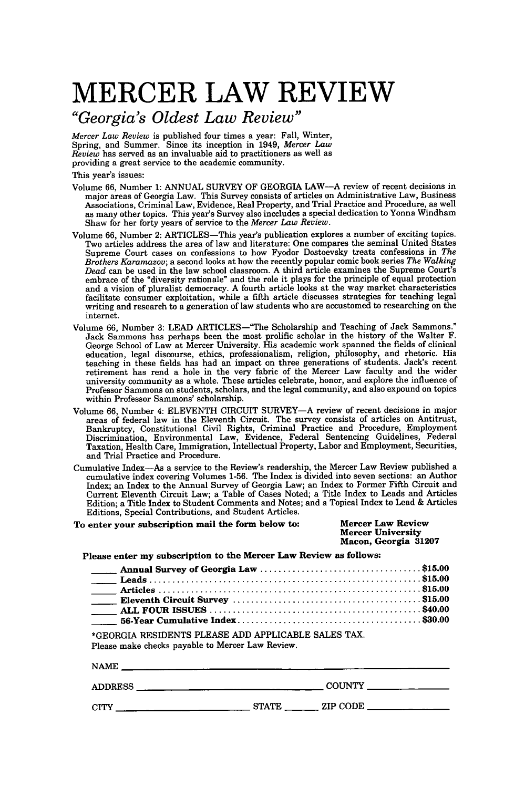*"Georgia's Oldest Law Review"*

*Mercer Law Review* is published four times a year: Fall, Winter, Spring, and Summer. Since its inception in 1949, *Mercer Law Review* has served as an invaluable aid to practitioners as well as providing a great service to the academic community.

This year's issues:

- Volume 66, Number 1: ANNUAL SURVEY OF GEORGIA LAW-A review of recent decisions in major areas of Georgia Law. This Survey consists of articles on Administrative Law, Business<br>Associations, Criminal Law, Evidence, Real Property, and Trial Practice and Procedure, as well<br>as many other topics. This year's Shaw for her forty years of service to the *Mercer Law Review.*
- Volume 66, Number 2: ARTICLES-This year's publication explores a number of exciting topics. Two articles address the area of law and literature: One compares the seminal United States Supreme Court cases on confessions to how Fyodor Dostoevsky treats confessions in *The Brothers Karamazov;* a second looks at how the recently popular comic book series *The Walking Dead* can be used in the law school classroom. A third article examines the Supreme Court's embrace of the "diversity rationale" and the role it plays for the principle of equal protection<br>and a vision of pluralist democracy. A fourth article looks at the way market characteristics<br>facilitate consumer exploitatio writing and research to a generation of law students who are accustomed to researching on the internet.
- Volume 66, Number 3: LEAD ARTICLES-"The Scholarship and Teaching of Jack Sammons." Jack Sammons has perhaps been the most prolific scholar in the history of the Walter F. George School of Law at Mercer University. His academic work spanned the fields of clinical education, legal discourse, ethics, professionalism, religion, philosophy, and rhetoric. His teaching in these fields has had an impact on three generations of students. Jack's recent retirement has rend a hole in the very university community as a whole. These articles celebrate, honor, and explore the influence of Professor Sammons on students, scholars, and the legal community, and also expound on topics within Professor Sammons' scholarship.
- Volume 66, Number 4: ELEVENTH CIRCUIT SURVEY-A review of recent decisions in major areas of federal law in the Eleventh Circuit. The survey consists of articles on Antitrust, Bankruptcy, Constitutional Civil Rights, Criminal Practice and Procedure, Employment<br>Discrimination, Environmental Law, Evidence, Federal Sentencing Guidelines, Federal<br>Taxation,Health Care, Immigration,Intellectual Proper
- Cumulative Index—As a service to the Review's readership, the Mercer Law Review published a cumulative index covering Volumes 1-56. The Index is divided into seven sections: an Author Index; an Index to the Annual Survey o Current Eleventh Circuit Law; a Table of Cases Noted; a Title Index to Leads and Articles Edition; a Title Index to Student Comments and Notes; and a Topical Index to Lead & Articles Editions, Special Contributions, and Student Articles.

| To enter your subscription mail the form below to:                | <b>Mercer Law Review</b><br><b>Mercer University</b><br>Macon. Georgia 31207 |
|-------------------------------------------------------------------|------------------------------------------------------------------------------|
| Please enter my subscription to the Mercer Law Review as follows: |                                                                              |
| Arrupal Course of Conneis Law                                     | \$15.00                                                                      |

**\*GEORGIA RESIDENTS PLEASE ADD APPLICABLE SALES TAX.** Please make checks payable to **Mercer Law Review.**

**NAME**

| <b>ADDRESS</b> |              | <b>COUNTY</b> |
|----------------|--------------|---------------|
| <b>CITY</b>    | <b>STATE</b> | ZIP CODE      |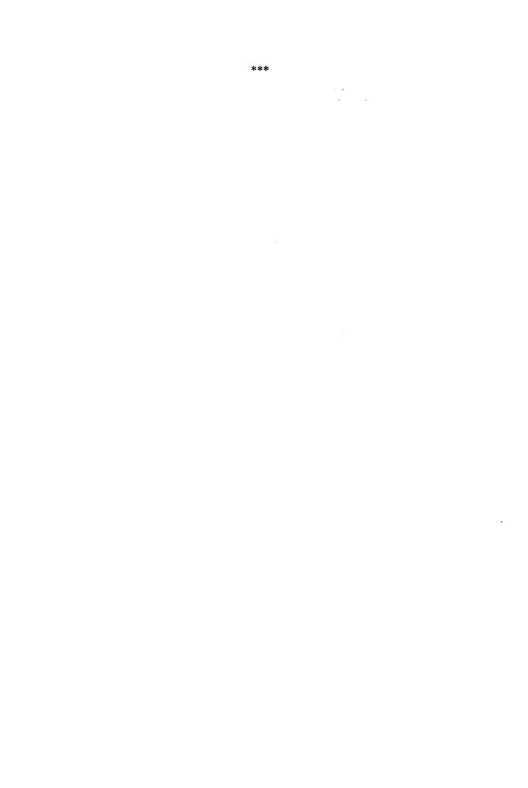

 $\Delta \sim 1$ 

 $***$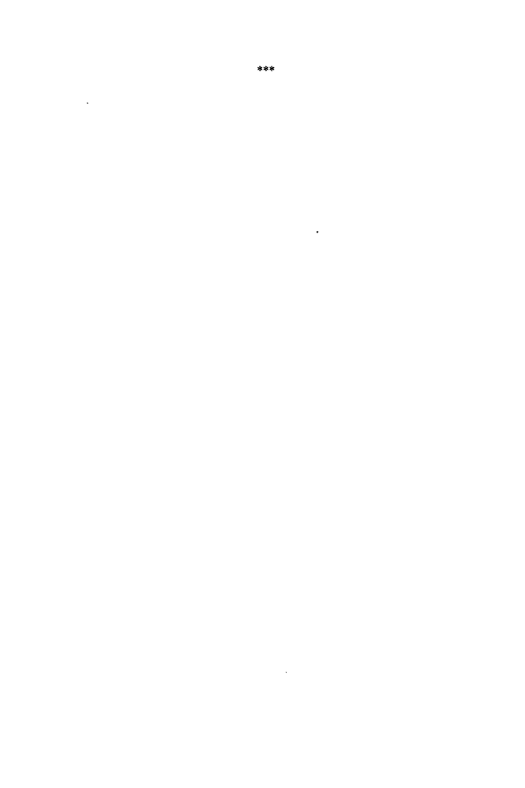

 $\label{eq:2.1} \frac{1}{\sqrt{2\pi}}\int_{0}^{\infty}\frac{1}{\sqrt{2\pi}}\left(\frac{1}{\sqrt{2\pi}}\right)^{2\alpha} \frac{1}{\sqrt{2\pi}}\int_{0}^{\infty}\frac{1}{\sqrt{2\pi}}\frac{1}{\sqrt{2\pi}}\frac{1}{\sqrt{2\pi}}\frac{1}{\sqrt{2\pi}}\frac{1}{\sqrt{2\pi}}\frac{1}{\sqrt{2\pi}}\frac{1}{\sqrt{2\pi}}\frac{1}{\sqrt{2\pi}}\frac{1}{\sqrt{2\pi}}\frac{1}{\sqrt{2\pi}}\frac{1}{\sqrt{2\pi}}\frac{$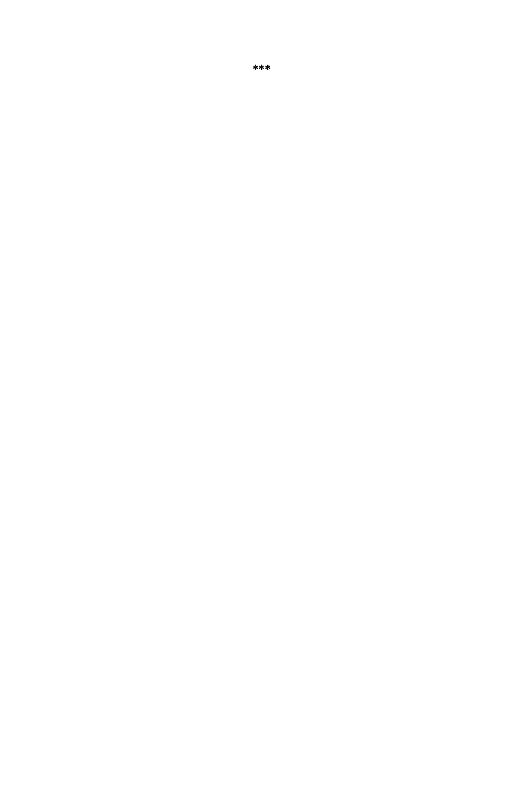$***$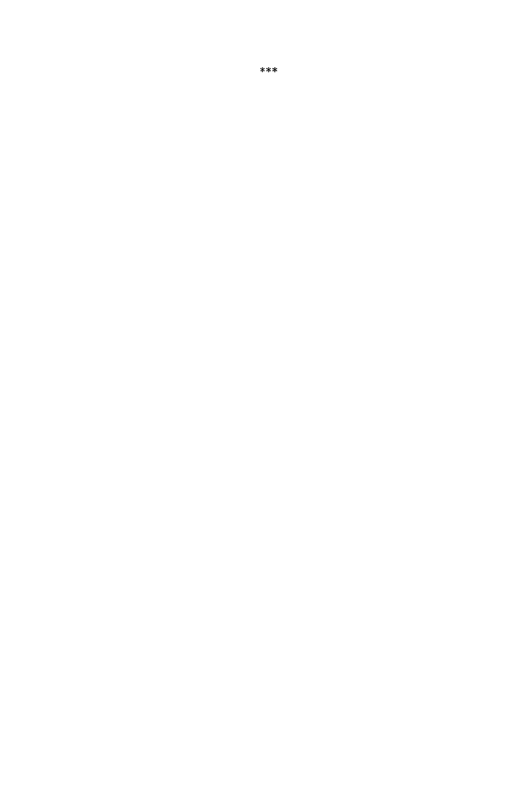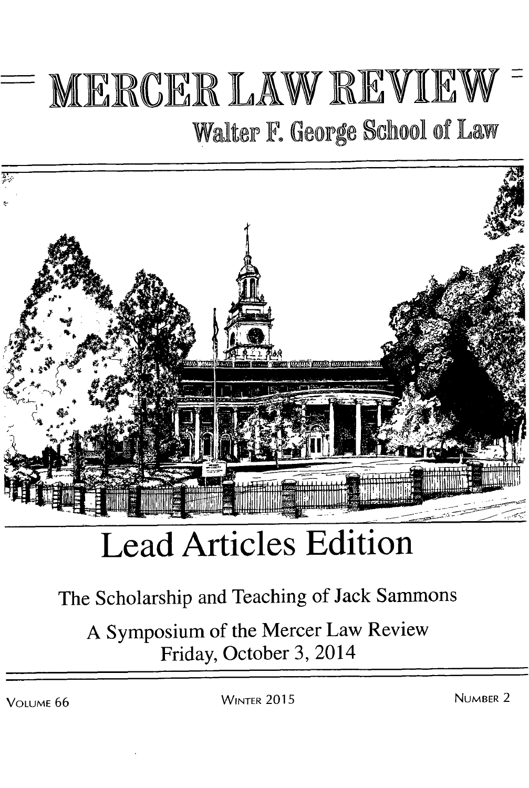# MERCER LAW REVIEW Walter F. George **School** of Law



# **Lead Articles Edition**

## **The Scholarship and Teaching of Jack Sammons**

**A Symposium of the Mercer Law Review Friday, October 3, 2014**

WINTER **<sup>2015</sup> NUMBER 2 VOLUME 66**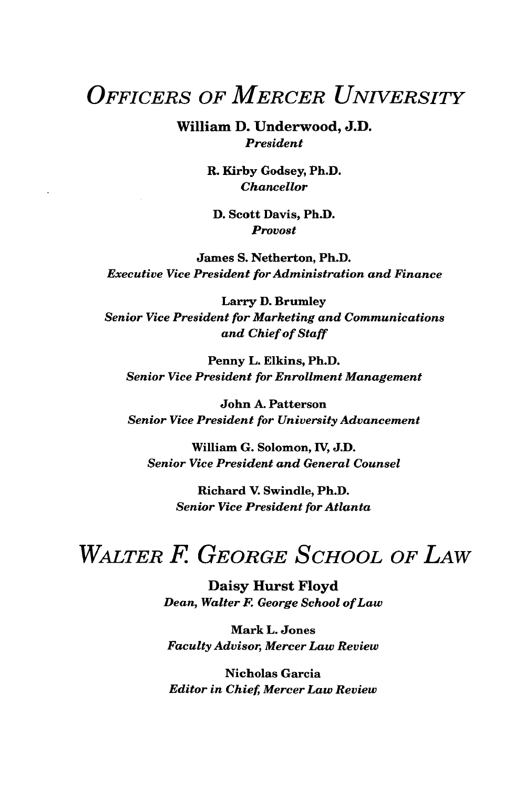## *OFFICERS OF MERCER UNIVERSITY*

William **D.** Underwood, **J.D.** *President*

> R. Kirby Godsey, Ph.D. *Chancellor*

**D.** Scott Davis, Ph.D. *Provost*

James **S.** Netherton, Ph.D. *Executive Vice President for Administration and Finance*

Larry **D.** Brumley *Senior Vice President for Marketing and Communications and Chief of Staff*

Penny L. Elkins, Ph.D. *Senior Vice President for Enrollment Management*

John **A.** Patterson *Senior Vice President for University Advancement*

William **G.** Solomon, **IV, J.D.** *Senior Vice President and General Counsel*

> Richard V. Swindle, Ph.D. *Senior Vice President for Atlanta*

## *WALTER F GEORGE SCHOOL OF LAW*

Daisy Hurst Floyd *Dean, Walter F. George School of Law*

Mark L. Jones *Faculty Advisor, Mercer Law Review*

Nicholas Garcia *Editor in Chief, Mercer Law Review*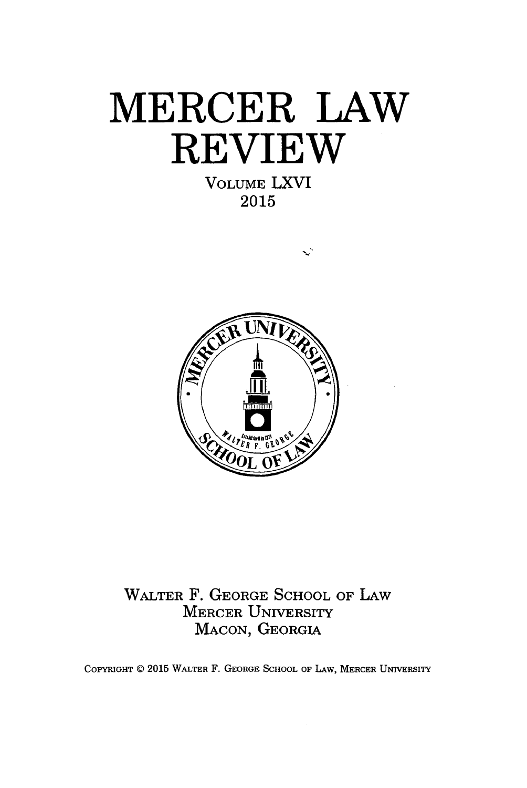

### **VOLUME** LXVI **2015**



#### WALTER F. **GEORGE SCHOOL** OF LAW MERCER UNIVERSITY MACON, GEORGIA

COPYRIGHT **(9)** 2015 WALTER F. GEORGE SCHOOL OF LAW, MERCER UNIVERSITY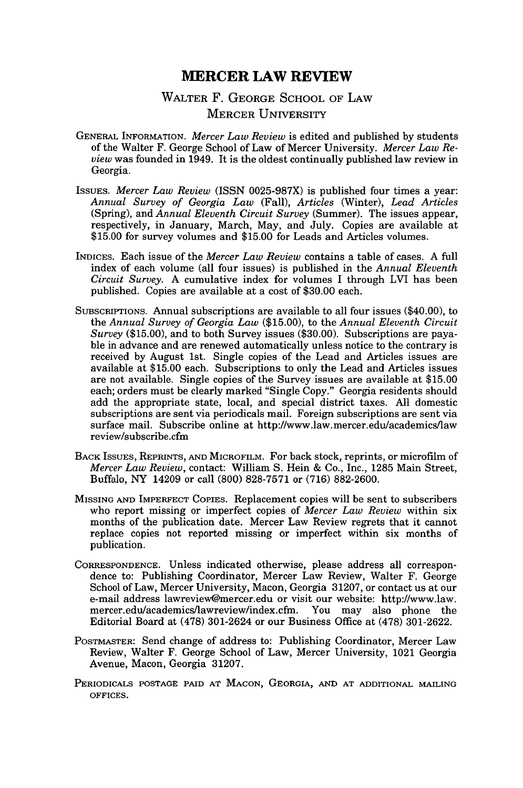#### WALTER F. **GEORGE** SCHOOL OF LAW **MERCER UNIVERSITY**

- GENERAL INFORMATION. *Mercer Law Review* is edited and published by students of the Walter F. George School of Law of Mercer University. *Mercer Law Review* was founded in 1949. It is the oldest continually published law review in Georgia.
- ISSUES. *Mercer Law Review* (ISSN 0025-987X) is published four times a year: *Annual Survey of Georgia Law* (Fall), *Articles* (Winter), *Lead Articles* (Spring), and *Annual Eleventh Circuit Survey* (Summer). The issues appear, respectively, in January, March, May, and July. Copies are available at \$15.00 for survey volumes and \$15.00 for Leads and Articles volumes.
- INDICES. Each issue of the *Mercer Law Review* contains a table of cases. A full index of each volume (all four issues) is published in the *Annual Eleventh Circuit Survey.* A cumulative index for volumes I through LVI has been published. Copies are available at a cost of \$30.00 each.
- SUBSCRnPrIONs. Annual subscriptions are available to all four issues (\$40.00), to the *Annual Survey of Georgia Law* (\$15.00), to the *Annual Eleventh Circuit Survey* (\$15.00), and to both Survey issues (\$30.00). Subscriptions are payable in advance and are renewed automatically unless notice to the contrary is received by August 1st. Single copies of the Lead and Articles issues are available at \$15.00 each. Subscriptions to only the Lead and Articles issues are not available. Single copies of the Survey issues are available at \$15.00 each; orders must be clearly marked "Single Copy." Georgia residents should add the appropriate state, local, and special district taxes. All domestic subscriptions are sent via periodicals mail. Foreign subscriptions are sent via surface mail. Subscribe online at http://www.law.mercer.edu/academics/law review/subscribe.cfm
- BACK **ISSUES,** REPRINTS, **AND** MICROFILM. For back stock, reprints, or microfilm of *Mercer Law Review,* contact: William S. Hein & Co., Inc., 1285 Main Street, Buffalo, NY 14209 or call (800) 828-7571 or (716) 882-2600.
- MISSING **AND** IMPERFECT COPIES. Replacement copies will be sent to subscribers who report missing or imperfect copies of *Mercer Law Review* within six months of the publication date. Mercer Law Review regrets that it cannot replace copies not reported missing or imperfect within six months of publication.
- CORRESPONDENCE. Unless indicated otherwise, please address all correspondence to: Publishing Coordinator, Mercer Law Review, Walter F. George School of Law, Mercer University, Macon, Georgia 31207, or contact us at our e-mail address lawreview@mercer.edu or visit our website: http://www.law. mercer.edu/academics/lawreview/index.cfm. Editorial Board at (478) 301-2624 or our Business Office at (478) 301-2622.
- POSTMASTER: Send change of address to: Publishing Coordinator, Mercer Law Review, Walter F. George School of Law, Mercer University, 1021 Georgia Avenue, Macon, Georgia 31207.
- PERIODICALS **POSTAGE** PAID **AT MACON,** GEORGIA, **AND AT** ADDITIONAL MAILING OFFICES.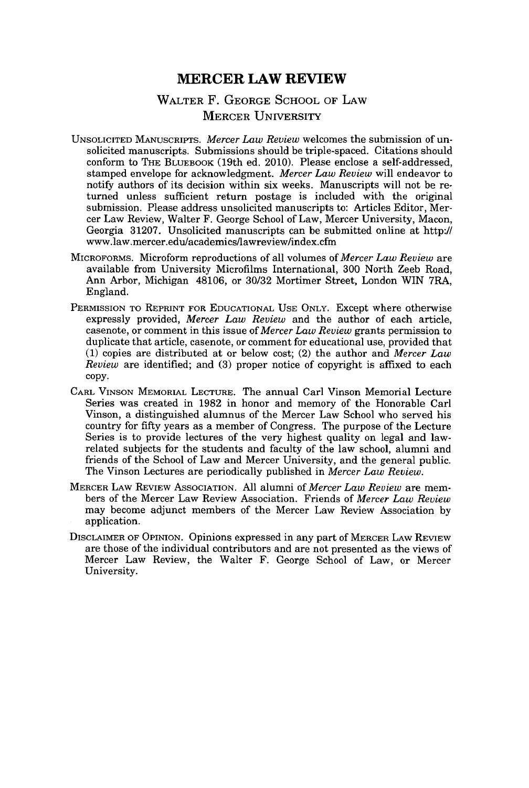#### WALTER F. **GEORGE SCHOOL** OF LAW MERCER **UNIVERSITY**

- UNSOLICITED MANUSCRIPTS. *Mercer Law Review* welcomes the submission of unsolicited manuscripts. Submissions should be triple-spaced. Citations should conform to THE BLUEBOOK (19th ed. 2010). Please enclose a self-addressed, stamped envelope for acknowledgment. *Mercer Law Review* will endeavor to notify authors of its decision within six weeks. Manuscripts will not be returned unless sufficient return postage is included with the original submission. Please address unsolicited manuscripts to: Articles Editor, Mercer Law Review, Walter F. George School of Law, Mercer University, Macon, Georgia 31207. Unsolicited manuscripts can be submitted online at http:// www.law.mercer.edu/academics/lawreview/index.cfm
- MICROFORMS. Microform reproductions of all volumes of *Mercer Law Review* are available from University Microfilms International, 300 North Zeeb Road, Ann Arbor, Michigan 48106, or 30/32 Mortimer Street, London WIN 7RA, England.
- PERMISSION TO REPRINT FOR EDUCATIONAL USE ONLY. Except where otherwise expressly provided, *Mercer Law Review* and the author of each article, casenote, or comment in this issue of *Mercer Law Review* grants permission to duplicate that article, casenote, or comment for educational use, provided that (1) copies are distributed at or below cost; (2) the author and *Mercer Law Review* are identified; and (3) proper notice of copyright is affixed to each copy.
- CARL VINSON MEMORIAL LECTURE. The annual Carl Vinson Memorial Lecture Series was created in 1982 in honor and memory of the Honorable Carl Vinson, a distinguished alumnus of the Mercer Law School who served his country for fifty years as a member of Congress. The purpose of the Lecture Series is to provide lectures of the very highest quality on legal and lawrelated subjects for the students and faculty of the law school, alumni and friends of the School of Law and Mercer University, and the general public. The Vinson Lectures are periodically published in *Mercer Law Review.*
- MERCER LAW REVIEW ASSOCIATION. All alumni of *Mercer Law Review* are members of the Mercer Law Review Association. Friends of *Mercer Law Review* may become adjunct members of the Mercer Law Review Association by application.
- DISCLAIMER OF OPINION. Opinions expressed in any part of MERCER LAW REVIEW are those of the individual contributors and are not presented as the views of Mercer Law Review, the Walter F. George School of Law, or Mercer University.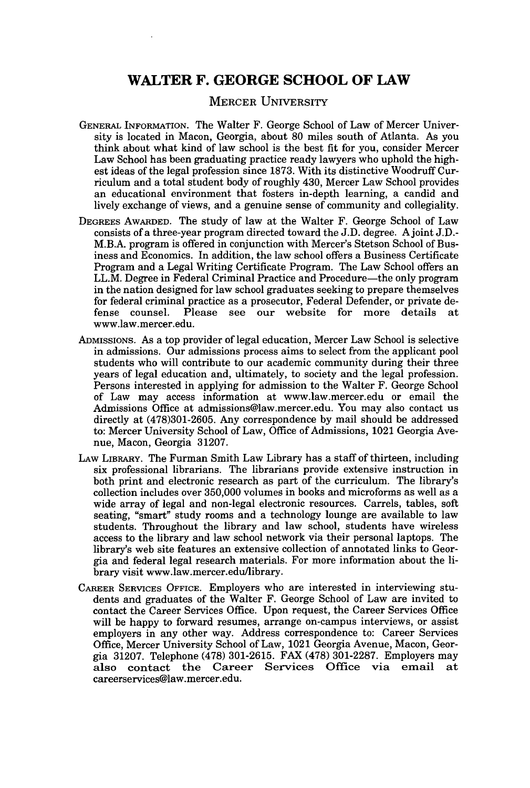#### **WALTER F. GEORGE SCHOOL OF LAW**

#### MERCER UNIVERSITY

- GENERAL INFORMATION. The Walter F. George School of Law of Mercer University is located in Macon, Georgia, about 80 miles south of Atlanta. As you think about what kind of law school is the best fit for you, consider Mercer Law School has been graduating practice ready lawyers who uphold the highest ideas of the legal profession since 1873. With its distinctive Woodruff Curriculum and a total student body of roughly 430, Mercer Law School provides an educational environment that fosters in-depth learning, a candid and lively exchange of views, and a genuine sense of community and collegiality.
- DEGREES AWARDED. The study of law at the Walter F. George School of Law consists of a three-year program directed toward the J.D. degree. Ajoint J.D.- M.B.A. program is offered in conjunction with Mercer's Stetson School of Business and Economics. In addition, the law school offers a Business Certificate Program and a Legal Writing Certificate Program. The Law School offers an LL.M. Degree in Federal Criminal Practice and Procedure-the only program in the nation designed for law school graduates seeking to prepare themselves for federal criminal practice as a prosecutor, Federal Defender, or private defense counsel. Please see our website for more details at www.law.mercer.edu.
- ADMISSIONS. As a top provider of legal education, Mercer Law School is selective in admissions. Our admissions process aims to select from the applicant pool students who will contribute to our academic community during their three years of legal education and, ultimately, to society and the legal profession. Persons interested in applying for admission to the Walter F. George School of Law may access information at www.law.mercer.edu or email the Admissions Office at admissions@law.mercer.edu. You may also contact us directly at (478)301-2605. Any correspondence by mail should be addressed to: Mercer University School of Law, Office of Admissions, 1021 Georgia Avenue, Macon, Georgia 31207.
- LAW LIBRARY. The Furman Smith Law Library has a staff of thirteen, including six professional librarians. The librarians provide extensive instruction in both print and electronic research as part of the curriculum. The library's collection includes over 350,000 volumes in books and microforms as well as a wide array of legal and non-legal electronic resources. Carrels, tables, soft seating, "smart" study rooms and a technology lounge are available to law students. Throughout the library and law school, students have wireless access to the library and law school network via their personal laptops. The library's web site features an extensive collection of annotated links to Georgia and federal legal research materials. For more information about the library visit www.law.mercer.edullibrary.
- CAREER SERVICES OFFICE. Employers who are interested in interviewing students and graduates of the Walter F. George School of Law are invited to contact the Career Services Office. Upon request, the Career Services Office will be happy to forward resumes, arrange on-campus interviews, or assist employers in any other way. Address correspondence to: Career Services Office, Mercer University School of Law, 1021 Georgia Avenue, Macon, Georgia 31207. Telephone (478) 301-2615. FAX (478) 301-2287. Employers may also contact the Career Services Office via email at careerservices@law.mercer.edu.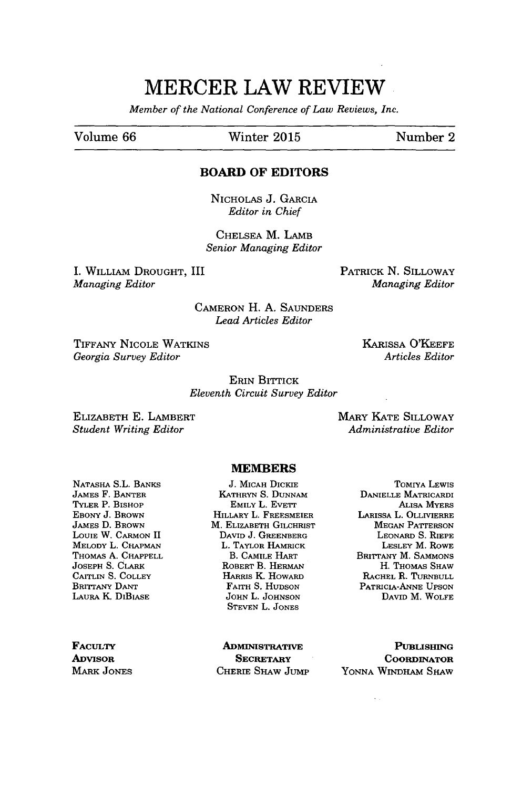*Member of the National Conference of Law Reviews, Inc.*

Volume **66** Winter **2015** Number 2

#### **BOARD OF EDITORS**

NICHOLAS **J.** GARCIA *Editor in Chief*

**CHELSEA** M. LAMB *Senior Managing Editor*

I. WILLIAM DROUGHT, III *Managing Editor*

PATRICK **N.** SILLOWAY *Managing Editor*

**CAMERON** H. **A. SAUNDERS** *Lead Articles Editor*

TIFFANY NICOLE WATKINS *Georgia Survey Editor*

KARISSA O'KEEFE *Articles Editor*

ERIN **BITTICK** *Eleventh Circuit Survey Editor*

ELIZABETH **E.** LAMBERT *Student Writing Editor*

MARY KATE SILLOWAY *Administrative Editor*

#### MEMBERS

NATASHA S.L. BANKS JAMES F. BANTER TYLER P. BISHOP EBONY **J.** BROWN JAMES **D.** BROWN LOUIE W. CARMON II MELODY L. CHAPMAN THOMAS A. CHAPPELL JOSEPH S. CLARK CAITLIN S. COLLEY BRITTANY **DANT** LAURA K. DIBIASE

J. MICAH DICKIE **KATHRYN S. DUNNAM** EMILY L. **EvETT** HILLARY L. FREESMEIER M. ELIZABETH GILCHRIST DAVID J. GREENBERG L. TAYLOR HAMRICK B. **CAMILE** HART ROBERT B. HERMAN HARRIS K. **HOWARD** FAITH **S.** HUDSON JOHN L. JOHNSON **STEVEN** L. **JONES**

TOMIYA LEWIS DANIELLE MATRICARDI **ALISA MYERS** LARISSA L. OLLIvIERRE MEGAN PATTERSON LEONARD S. RIEPE LESLEY M. **ROWE** BRITTANY M. **SAMMONS** H. **THOMAS** SHAW RACHEL R. **TURNBULL** PATRICIA-ANNE UPSON DAVID M. WOLFE

**FACULTY ADVISOR** MARK JONES

**ADMINISTRATIVE SECRETARY CHERIE SHAW JUMP**

**PUBLISHING COORDINATOR YONNA WINDHAM SHAW**